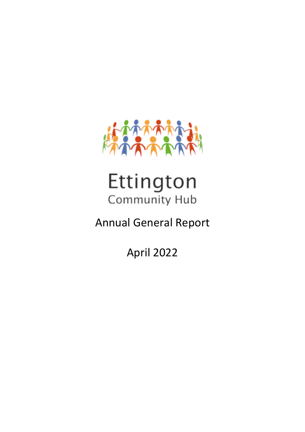

# Ettington Community Hub

## Annual General Report

April 2022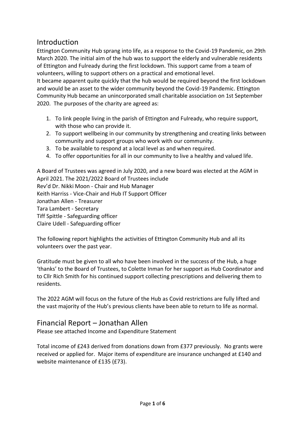## Introduction

Ettington Community Hub sprang into life, as a response to the Covid-19 Pandemic, on 29th March 2020. The initial aim of the hub was to support the elderly and vulnerable residents of Ettington and Fulready during the first lockdown. This support came from a team of volunteers, willing to support others on a practical and emotional level.

It became apparent quite quickly that the hub would be required beyond the first lockdown and would be an asset to the wider community beyond the Covid-19 Pandemic. Ettington Community Hub became an unincorporated small charitable association on 1st September 2020. The purposes of the charity are agreed as:

- 1. To link people living in the parish of Ettington and Fulready, who require support, with those who can provide it.
- 2. To support wellbeing in our community by strengthening and creating links between community and support groups who work with our community.
- 3. To be available to respond at a local level as and when required.
- 4. To offer opportunities for all in our community to live a healthy and valued life.

A Board of Trustees was agreed in July 2020, and a new board was elected at the AGM in April 2021. The 2021/2022 Board of Trustees include Rev'd Dr. Nikki Moon - Chair and Hub Manager Keith Harriss - Vice-Chair and Hub IT Support Officer Jonathan Allen - Treasurer Tara Lambert - Secretary Tiff Spittle - Safeguarding officer Claire Udell - Safeguarding officer

The following report highlights the activities of Ettington Community Hub and all its volunteers over the past year.

Gratitude must be given to all who have been involved in the success of the Hub, a huge 'thanks' to the Board of Trustees, to Colette Inman for her support as Hub Coordinator and to Cllr Rich Smith for his continued support collecting prescriptions and delivering them to residents.

The 2022 AGM will focus on the future of the Hub as Covid restrictions are fully lifted and the vast majority of the Hub's previous clients have been able to return to life as normal.

### Financial Report – Jonathan Allen

Please see attached Income and Expenditure Statement

Total income of £243 derived from donations down from £377 previously. No grants were received or applied for. Major items of expenditure are insurance unchanged at £140 and website maintenance of £135 (£73).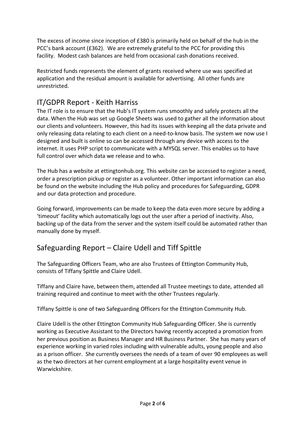The excess of income since inception of £380 is primarily held on behalf of the hub in the PCC's bank account (£362). We are extremely grateful to the PCC for providing this facility. Modest cash balances are held from occasional cash donations received.

Restricted funds represents the element of grants received where use was specified at application and the residual amount is available for advertising. All other funds are unrestricted.

## IT/GDPR Report - Keith Harriss

The IT role is to ensure that the Hub's IT system runs smoothly and safely protects all the data. When the Hub was set up Google Sheets was used to gather all the information about our clients and volunteers. However, this had its issues with keeping all the data private and only releasing data relating to each client on a need-to-know basis. The system we now use I designed and built is online so can be accessed through any device with access to the internet. It uses PHP script to communicate with a MYSQL server. This enables us to have full control over which data we release and to who.

The Hub has a website at ettingtonhub.org. This website can be accessed to register a need, order a prescription pickup or register as a volunteer. Other important information can also be found on the website including the Hub policy and procedures for Safeguarding, GDPR and our data protection and procedure.

Going forward, improvements can be made to keep the data even more secure by adding a 'timeout' facility which automatically logs out the user after a period of inactivity. Also, backing up of the data from the server and the system itself could be automated rather than manually done by myself.

## Safeguarding Report – Claire Udell and Tiff Spittle

The Safeguarding Officers Team, who are also Trustees of Ettington Community Hub, consists of Tiffany Spittle and Claire Udell.

Tiffany and Claire have, between them, attended all Trustee meetings to date, attended all training required and continue to meet with the other Trustees regularly.

Tiffany Spittle is one of two Safeguarding Officers for the Ettington Community Hub.

Claire Udell is the other Ettington Community Hub Safeguarding Officer. She is currently working as Executive Assistant to the Directors having recently accepted a promotion from her previous position as Business Manager and HR Business Partner. She has many years of experience working in varied roles including with vulnerable adults, young people and also as a prison officer. She currently oversees the needs of a team of over 90 employees as well as the two directors at her current employment at a large hospitality event venue in Warwickshire.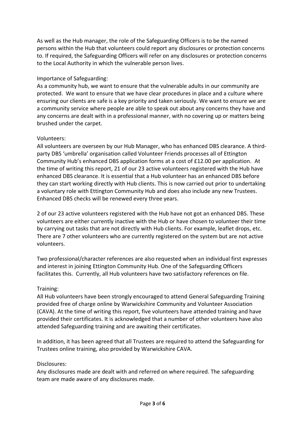As well as the Hub manager, the role of the Safeguarding Officers is to be the named persons within the Hub that volunteers could report any disclosures or protection concerns to. If required, the Safeguarding Officers will refer on any disclosures or protection concerns to the Local Authority in which the vulnerable person lives.

#### Importance of Safeguarding:

As a community hub, we want to ensure that the vulnerable adults in our community are protected. We want to ensure that we have clear procedures in place and a culture where ensuring our clients are safe is a key priority and taken seriously. We want to ensure we are a community service where people are able to speak out about any concerns they have and any concerns are dealt with in a professional manner, with no covering up or matters being brushed under the carpet.

#### Volunteers:

All volunteers are overseen by our Hub Manager, who has enhanced DBS clearance. A thirdparty DBS 'umbrella' organisation called Volunteer Friends processes all of Ettington Community Hub's enhanced DBS application forms at a cost of £12.00 per application. At the time of writing this report, 21 of our 23 active volunteers registered with the Hub have enhanced DBS clearance. It is essential that a Hub volunteer has an enhanced DBS before they can start working directly with Hub clients. This is now carried out prior to undertaking a voluntary role with Ettington Community Hub and does also include any new Trustees. Enhanced DBS checks will be renewed every three years.

2 of our 23 active volunteers registered with the Hub have not got an enhanced DBS. These volunteers are either currently inactive with the Hub or have chosen to volunteer their time by carrying out tasks that are not directly with Hub clients. For example, leaflet drops, etc. There are 7 other volunteers who are currently registered on the system but are not active volunteers.

Two professional/character references are also requested when an individual first expresses and interest in joining Ettington Community Hub. One of the Safeguarding Officers facilitates this. Currently, all Hub volunteers have two satisfactory references on file.

#### Training:

All Hub volunteers have been strongly encouraged to attend General Safeguarding Training provided free of charge online by Warwickshire Community and Volunteer Association (CAVA). At the time of writing this report, five volunteers have attended training and have provided their certificates. It is acknowledged that a number of other volunteers have also attended Safeguarding training and are awaiting their certificates.

In addition, it has been agreed that all Trustees are required to attend the Safeguarding for Trustees online training, also provided by Warwickshire CAVA.

#### Disclosures:

Any disclosures made are dealt with and referred on where required. The safeguarding team are made aware of any disclosures made.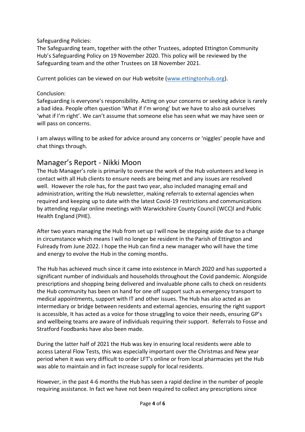#### Safeguarding Policies:

The Safeguarding team, together with the other Trustees, adopted Ettington Community Hub's Safeguarding Policy on 19 November 2020. This policy will be reviewed by the Safeguarding team and the other Trustees on 18 November 2021.

Current policies can be viewed on our Hub website [\(www.ettingtonhub.org\)](http://www.ettingtonhub.org/).

#### Conclusion:

Safeguarding is everyone's responsibility. Acting on your concerns or seeking advice is rarely a bad idea. People often question 'What if I'm wrong' but we have to also ask ourselves 'what if I'm right'. We can't assume that someone else has seen what we may have seen or will pass on concerns.

I am always willing to be asked for advice around any concerns or 'niggles' people have and chat things through.

## Manager's Report - Nikki Moon

The Hub Manager's role is primarily to oversee the work of the Hub volunteers and keep in contact with all Hub clients to ensure needs are being met and any issues are resolved well. However the role has, for the past two year, also included managing email and administration, writing the Hub newsletter, making referrals to external agencies when required and keeping up to date with the latest Covid-19 restrictions and communications by attending regular online meetings with Warwickshire County Council (WCC)l and Public Health England (PHE).

After two years managing the Hub from set up I will now be stepping aside due to a change in circumstance which means I will no longer be resident in the Parish of Ettington and Fulready from June 2022. I hope the Hub can find a new manager who will have the time and energy to evolve the Hub in the coming months.

The Hub has achieved much since it came into existence in March 2020 and has supported a significant number of individuals and households throughout the Covid pandemic. Alongside prescriptions and shopping being delivered and invaluable phone calls to check on residents the Hub community has been on hand for one off support such as emergency transport to medical appointments, support with IT and other issues. The Hub has also acted as an intermediary or bridge between residents and external agencies, ensuring the right support is accessible, It has acted as a voice for those struggling to voice their needs, ensuring GP's and wellbeing teams are aware of individuals requiring their support. Referrals to Fosse and Stratford Foodbanks have also been made.

During the latter half of 2021 the Hub was key in ensuring local residents were able to access Lateral Flow Tests, this was especially important over the Christmas and New year period when it was very difficult to order LFT's online or from local pharmacies yet the Hub was able to maintain and in fact increase supply for local residents.

However, in the past 4-6 months the Hub has seen a rapid decline in the number of people requiring assistance. In fact we have not been required to collect any prescriptions since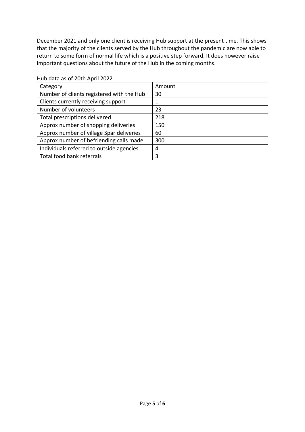December 2021 and only one client is receiving Hub support at the present time. This shows that the majority of the clients served by the Hub throughout the pandemic are now able to return to some form of normal life which is a positive step forward. It does however raise important questions about the future of the Hub in the coming months.

| Amount |
|--------|
| 30     |
|        |
| 23     |
| 218    |
| 150    |
| 60     |
| 300    |
| 4      |
| 3      |
|        |

#### Hub data as of 20th April 2022